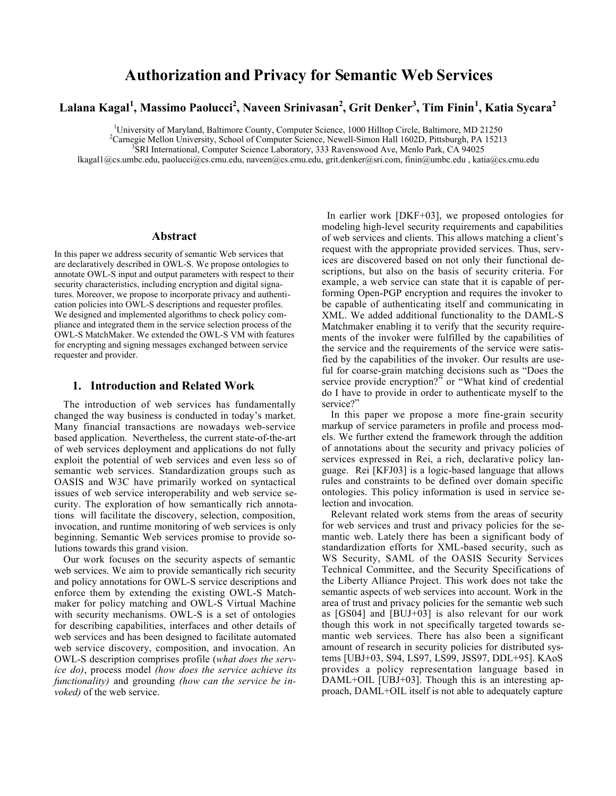# **Authorization and Privacy for Semantic Web Services**

**Lalana Kagal<sup>1</sup> , Massimo Paolucci2 , Naveen Srinivasan<sup>2</sup> , Grit Denker<sup>3</sup> , Tim Finin<sup>1</sup> , Katia Sycara<sup>2</sup>**

<sup>1</sup>University of Maryland, Baltimore County, Computer Science, 1000 Hilltop Circle, Baltimore, MD 21250<sup>2</sup>Carnogia Mallon University, School of Computer Science, Navyall Simon Hall 1602D, Bittsburgh, BA 1521

<sup>2</sup>Carnegie Mellon University, School of Computer Science, Newell-Simon Hall 1602D, Pittsburgh, PA 15213

SRI International, Computer Science Laboratory, 333 Ravenswood Ave, Menlo Park, CA 94025

lkagal1@cs.umbc.edu, paolucci@cs.cmu.edu, naveen@cs.cmu.edu, grit.denker@sri.com, finin@umbc.edu , katia@cs.cmu.edu

#### **Abstract**

In this paper we address security of semantic Web services that are declaratively described in OWL-S. We propose ontologies to annotate OWL-S input and output parameters with respect to their security characteristics, including encryption and digital signatures. Moreover, we propose to incorporate privacy and authentication policies into OWL-S descriptions and requester profiles. We designed and implemented algorithms to check policy compliance and integrated them in the service selection process of the OWL-S MatchMaker. We extended the OWL-S VM with features for encrypting and signing messages exchanged between service requester and provider.

#### **1. Introduction and Related Work**

The introduction of web services has fundamentally changed the way business is conducted in today's market. Many financial transactions are nowadays web-service based application. Nevertheless, the current state-of-the-art of web services deployment and applications do not fully exploit the potential of web services and even less so of semantic web services. Standardization groups such as OASIS and W3C have primarily worked on syntactical issues of web service interoperability and web service security. The exploration of how semantically rich annotations will facilitate the discovery, selection, composition, invocation, and runtime monitoring of web services is only beginning. Semantic Web services promise to provide solutions towards this grand vision.

Our work focuses on the security aspects of semantic web services. We aim to provide semantically rich security and policy annotations for OWL-S service descriptions and enforce them by extending the existing OWL-S Matchmaker for policy matching and OWL-S Virtual Machine with security mechanisms. OWL-S is a set of ontologies for describing capabilities, interfaces and other details of web services and has been designed to facilitate automated web service discovery, composition, and invocation. An OWL-S description comprises profile (*what does the service do)*, process model *(how does the service achieve its functionality)* and grounding *(how can the service be invoked)* of the web service.

In earlier work [DKF+03], we proposed ontologies for modeling high-level security requirements and capabilities of web services and clients. This allows matching a client's request with the appropriate provided services. Thus, services are discovered based on not only their functional descriptions, but also on the basis of security criteria. For example, a web service can state that it is capable of performing Open-PGP encryption and requires the invoker to be capable of authenticating itself and communicating in XML. We added additional functionality to the DAML-S Matchmaker enabling it to verify that the security requirements of the invoker were fulfilled by the capabilities of the service and the requirements of the service were satisfied by the capabilities of the invoker. Our results are useful for coarse-grain matching decisions such as "Does the service provide encryption?" or "What kind of credential do I have to provide in order to authenticate myself to the service?"

In this paper we propose a more fine-grain security markup of service parameters in profile and process models. We further extend the framework through the addition of annotations about the security and privacy policies of services expressed in Rei, a rich, declarative policy language. Rei [KFJ03] is a logic-based language that allows rules and constraints to be defined over domain specific ontologies. This policy information is used in service selection and invocation.

Relevant related work stems from the areas of security for web services and trust and privacy policies for the semantic web. Lately there has been a significant body of standardization efforts for XML-based security, such as WS Security, SAML of the OASIS Security Services Technical Committee, and the Security Specifications of the Liberty Alliance Project. This work does not take the semantic aspects of web services into account. Work in the area of trust and privacy policies for the semantic web such as [GS04] and [BUJ+03] is also relevant for our work though this work in not specifically targeted towards semantic web services. There has also been a significant amount of research in security policies for distributed systems [UBJ+03, S94, LS97, LS99, JSS97, DDL+95]. KAoS provides a policy representation language based in DAML+OIL [UBJ+03]. Though this is an interesting approach, DAML+OIL itself is not able to adequately capture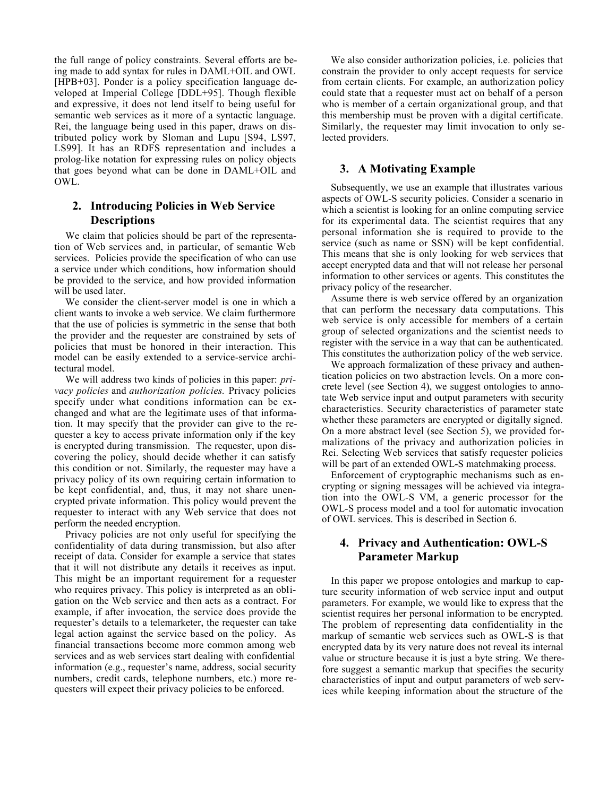the full range of policy constraints. Several efforts are being made to add syntax for rules in DAML+OIL and OWL [HPB+03]. Ponder is a policy specification language developed at Imperial College [DDL+95]. Though flexible and expressive, it does not lend itself to being useful for semantic web services as it more of a syntactic language. Rei, the language being used in this paper, draws on distributed policy work by Sloman and Lupu [S94, LS97, LS99]. It has an RDFS representation and includes a prolog-like notation for expressing rules on policy objects that goes beyond what can be done in DAML+OIL and OWL.

### **2. Introducing Policies in Web Service Descriptions**

We claim that policies should be part of the representation of Web services and, in particular, of semantic Web services. Policies provide the specification of who can use a service under which conditions, how information should be provided to the service, and how provided information will be used later.

We consider the client-server model is one in which a client wants to invoke a web service. We claim furthermore that the use of policies is symmetric in the sense that both the provider and the requester are constrained by sets of policies that must be honored in their interaction. This model can be easily extended to a service-service architectural model.

We will address two kinds of policies in this paper: *privacy policies* and *authorization policies.* Privacy policies specify under what conditions information can be exchanged and what are the legitimate uses of that information. It may specify that the provider can give to the requester a key to access private information only if the key is encrypted during transmission. The requester, upon discovering the policy, should decide whether it can satisfy this condition or not. Similarly, the requester may have a privacy policy of its own requiring certain information to be kept confidential, and, thus, it may not share unencrypted private information. This policy would prevent the requester to interact with any Web service that does not perform the needed encryption.

Privacy policies are not only useful for specifying the confidentiality of data during transmission, but also after receipt of data. Consider for example a service that states that it will not distribute any details it receives as input. This might be an important requirement for a requester who requires privacy. This policy is interpreted as an obligation on the Web service and then acts as a contract. For example, if after invocation, the service does provide the requester's details to a telemarketer, the requester can take legal action against the service based on the policy. As financial transactions become more common among web services and as web services start dealing with confidential information (e.g., requester's name, address, social security numbers, credit cards, telephone numbers, etc.) more requesters will expect their privacy policies to be enforced.

We also consider authorization policies, i.e. policies that constrain the provider to only accept requests for service from certain clients. For example, an authorization policy could state that a requester must act on behalf of a person who is member of a certain organizational group, and that this membership must be proven with a digital certificate. Similarly, the requester may limit invocation to only selected providers.

### **3. A Motivating Example**

Subsequently, we use an example that illustrates various aspects of OWL-S security policies. Consider a scenario in which a scientist is looking for an online computing service for its experimental data. The scientist requires that any personal information she is required to provide to the service (such as name or SSN) will be kept confidential. This means that she is only looking for web services that accept encrypted data and that will not release her personal information to other services or agents. This constitutes the privacy policy of the researcher.

Assume there is web service offered by an organization that can perform the necessary data computations. This web service is only accessible for members of a certain group of selected organizations and the scientist needs to register with the service in a way that can be authenticated. This constitutes the authorization policy of the web service.

We approach formalization of these privacy and authentication policies on two abstraction levels. On a more concrete level (see Section 4), we suggest ontologies to annotate Web service input and output parameters with security characteristics. Security characteristics of parameter state whether these parameters are encrypted or digitally signed. On a more abstract level (see Section 5), we provided formalizations of the privacy and authorization policies in Rei. Selecting Web services that satisfy requester policies will be part of an extended OWL-S matchmaking process.

Enforcement of cryptographic mechanisms such as encrypting or signing messages will be achieved via integration into the OWL-S VM, a generic processor for the OWL-S process model and a tool for automatic invocation of OWL services. This is described in Section 6.

# **4. Privacy and Authentication: OWL-S Parameter Markup**

In this paper we propose ontologies and markup to capture security information of web service input and output parameters. For example, we would like to express that the scientist requires her personal information to be encrypted. The problem of representing data confidentiality in the markup of semantic web services such as OWL-S is that encrypted data by its very nature does not reveal its internal value or structure because it is just a byte string. We therefore suggest a semantic markup that specifies the security characteristics of input and output parameters of web services while keeping information about the structure of the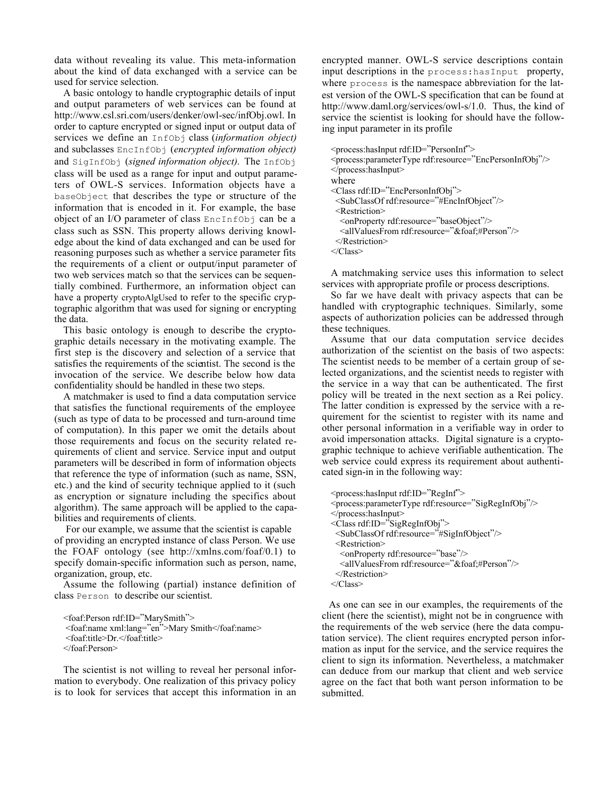data without revealing its value. This meta-information about the kind of data exchanged with a service can be used for service selection.

A basic ontology to handle cryptographic details of input and output parameters of web services can be found at http://www.csl.sri.com/users/denker/owl-sec/infObj.owl. In order to capture encrypted or signed input or output data of services we define an InfObj class (*information object)* and subclasses EncInfObj (*encrypted information object)* and SigInfObj (*signed information object).* The InfObj class will be used as a range for input and output parameters of OWL-S services. Information objects have a baseObject that describes the type or structure of the information that is encoded in it. For example, the base object of an I/O parameter of class EncInfObj can be a class such as SSN. This property allows deriving knowledge about the kind of data exchanged and can be used for reasoning purposes such as whether a service parameter fits the requirements of a client or output/input parameter of two web services match so that the services can be sequentially combined. Furthermore, an information object can have a property cryptoAlgUsed to refer to the specific cryptographic algorithm that was used for signing or encrypting the data.

This basic ontology is enough to describe the cryptographic details necessary in the motivating example. The first step is the discovery and selection of a service that satisfies the requirements of the scientist. The second is the invocation of the service. We describe below how data confidentiality should be handled in these two steps.

A matchmaker is used to find a data computation service that satisfies the functional requirements of the employee (such as type of data to be processed and turn-around time of computation). In this paper we omit the details about those requirements and focus on the security related requirements of client and service. Service input and output parameters will be described in form of information objects that reference the type of information (such as name, SSN, etc.) and the kind of security technique applied to it (such as encryption or signature including the specifics about algorithm). The same approach will be applied to the capabilities and requirements of clients.

 For our example, we assume that the scientist is capable of providing an encrypted instance of class Person. We use the FOAF ontology (see http://xmlns.com/foaf/0.1) to specify domain-specific information such as person, name, organization, group, etc.

Assume the following (partial) instance definition of class Person to describe our scientist.

```
<foaf:Person rdf:ID="MarySmith">
```
<foaf:name xml:lang="en">Mary Smith</foaf:name>

```
 <foaf:title>Dr.</foaf:title>
```

```
</foaf:Person>
```
The scientist is not willing to reveal her personal information to everybody. One realization of this privacy policy is to look for services that accept this information in an

encrypted manner. OWL-S service descriptions contain input descriptions in the process:hasInput property, where process is the namespace abbreviation for the latest version of the OWL-S specification that can be found at http://www.daml.org/services/owl-s/1.0. Thus, the kind of service the scientist is looking for should have the following input parameter in its profile

<process:hasInput rdf:ID="PersonInf"> <process:parameterType rdf:resource="EncPersonInfObj"/> </process:hasInput> where <Class rdf:ID="EncPersonInfObj"> <SubClassOf rdf:resource="#EncInfObject"/> <Restriction> <onProperty rdf:resource="baseObject"/> <allValuesFrom rdf:resource="&foaf;#Person"/> </Restriction> </Class>

A matchmaking service uses this information to select services with appropriate profile or process descriptions.

So far we have dealt with privacy aspects that can be handled with cryptographic techniques. Similarly, some aspects of authorization policies can be addressed through these techniques.

Assume that our data computation service decides authorization of the scientist on the basis of two aspects: The scientist needs to be member of a certain group of selected organizations, and the scientist needs to register with the service in a way that can be authenticated. The first policy will be treated in the next section as a Rei policy. The latter condition is expressed by the service with a requirement for the scientist to register with its name and other personal information in a verifiable way in order to avoid impersonation attacks. Digital signature is a cryptographic technique to achieve verifiable authentication. The web service could express its requirement about authenticated sign-in in the following way:

```
<process:hasInput rdf:ID="RegInf">
<process:parameterType rdf:resource="SigRegInfObj"/>
</process:hasInput>
<Class rdf:ID="SigRegInfObj">
  <SubClassOf rdf:resource="#SigInfObject"/>
  <Restriction>
   <onProperty rdf:resource="base"/>
   <allValuesFrom rdf:resource="&foaf;#Person"/>
  </Restriction>
</Class>
```
 As one can see in our examples, the requirements of the client (here the scientist), might not be in congruence with the requirements of the web service (here the data computation service). The client requires encrypted person information as input for the service, and the service requires the client to sign its information. Nevertheless, a matchmaker can deduce from our markup that client and web service agree on the fact that both want person information to be submitted.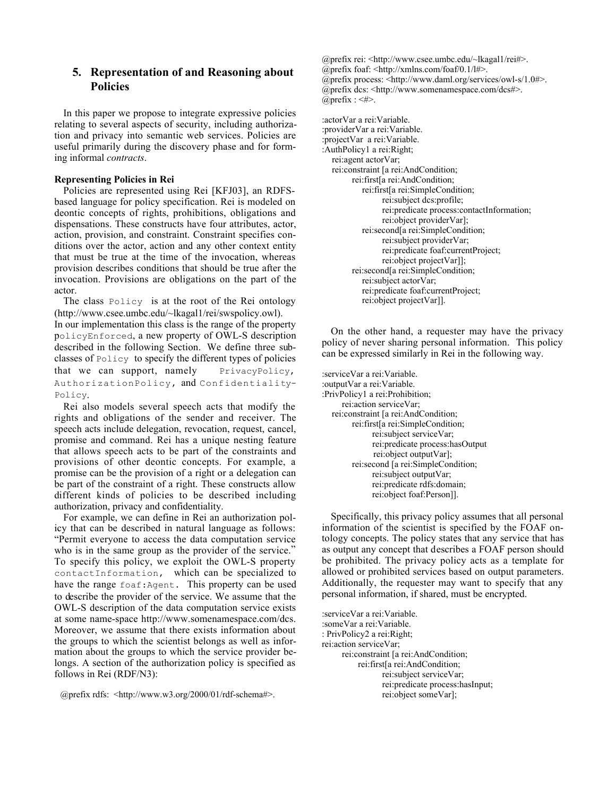### **5. Representation of and Reasoning about Policies**

In this paper we propose to integrate expressive policies relating to several aspects of security, including authorization and privacy into semantic web services. Policies are useful primarily during the discovery phase and for forming informal *contracts*.

#### **Representing Policies in Rei**

Policies are represented using Rei [KFJ03], an RDFSbased language for policy specification. Rei is modeled on deontic concepts of rights, prohibitions, obligations and dispensations. These constructs have four attributes, actor, action, provision, and constraint. Constraint specifies conditions over the actor, action and any other context entity that must be true at the time of the invocation, whereas provision describes conditions that should be true after the invocation. Provisions are obligations on the part of the actor.

The class Policy is at the root of the Rei ontology (http://www.csee.umbc.edu/~lkagal1/rei/swspolicy.owl). In our implementation this class is the range of the property policyEnforced, a new property of OWL-S description described in the following Section. We define three subclasses of Policy to specify the different types of policies that we can support, namely PrivacyPolicy, AuthorizationPolicy, and Confidentiality-Policy.

Rei also models several speech acts that modify the rights and obligations of the sender and receiver. The speech acts include delegation, revocation, request, cancel, promise and command. Rei has a unique nesting feature that allows speech acts to be part of the constraints and provisions of other deontic concepts. For example, a promise can be the provision of a right or a delegation can be part of the constraint of a right. These constructs allow different kinds of policies to be described including authorization, privacy and confidentiality.

For example, we can define in Rei an authorization policy that can be described in natural language as follows: "Permit everyone to access the data computation service who is in the same group as the provider of the service." To specify this policy, we exploit the OWL-S property contactInformation, which can be specialized to have the range foaf:Agent. This property can be used to describe the provider of the service. We assume that the OWL-S description of the data computation service exists at some name-space http://www.somenamespace.com/dcs. Moreover, we assume that there exists information about the groups to which the scientist belongs as well as information about the groups to which the service provider belongs. A section of the authorization policy is specified as follows in Rei (RDF/N3):

 $(\partial \text{prefix rdfs: } \langle \text{http://www.w3.org/2000/01/rdf-schemat} \rangle)$ .

@prefix rei: <http://www.csee.umbc.edu/~lkagal1/rei#>. @prefix foaf: <http://xmlns.com/foaf/0.1/l#>. @prefix process: <http://www.daml.org/services/owl-s/1.0#>. @prefix dcs: <http://www.somenamespace.com/dcs#>.  $@$ prefix :  $\lt\neq>$ .

:actorVar a rei:Variable. :providerVar a rei:Variable. :projectVar a rei:Variable. :AuthPolicy1 a rei:Right; rei:agent actorVar; rei:constraint [a rei:AndCondition; rei:first[a rei:AndCondition; rei:first[a rei:SimpleCondition; rei:subject dcs:profile; rei:predicate process:contactInformation; rei:object providerVar]; rei:second[a rei:SimpleCondition; rei:subject providerVar; rei:predicate foaf:currentProject; rei:object projectVar]]; rei:second[a rei:SimpleCondition; rei:subject actorVar; rei:predicate foaf:currentProject; rei:object projectVar]].

On the other hand, a requester may have the privacy policy of never sharing personal information. This policy can be expressed similarly in Rei in the following way.

:serviceVar a rei:Variable. :outputVar a rei:Variable. :PrivPolicy1 a rei:Prohibition; rei:action serviceVar; rei:constraint [a rei:AndCondition; rei:first[a rei:SimpleCondition; rei:subject serviceVar; rei:predicate process:hasOutput rei:object outputVar]; rei:second [a rei:SimpleCondition; rei:subject outputVar; rei:predicate rdfs:domain; rei:object foaf:Person]].

Specifically, this privacy policy assumes that all personal information of the scientist is specified by the FOAF ontology concepts. The policy states that any service that has as output any concept that describes a FOAF person should be prohibited. The privacy policy acts as a template for allowed or prohibited services based on output parameters. Additionally, the requester may want to specify that any personal information, if shared, must be encrypted.

:serviceVar a rei:Variable. :someVar a rei:Variable. : PrivPolicy2 a rei:Right; rei:action serviceVar; rei:constraint [a rei:AndCondition; rei:first[a rei:AndCondition; rei:subject serviceVar; rei:predicate process:hasInput; rei:object someVar];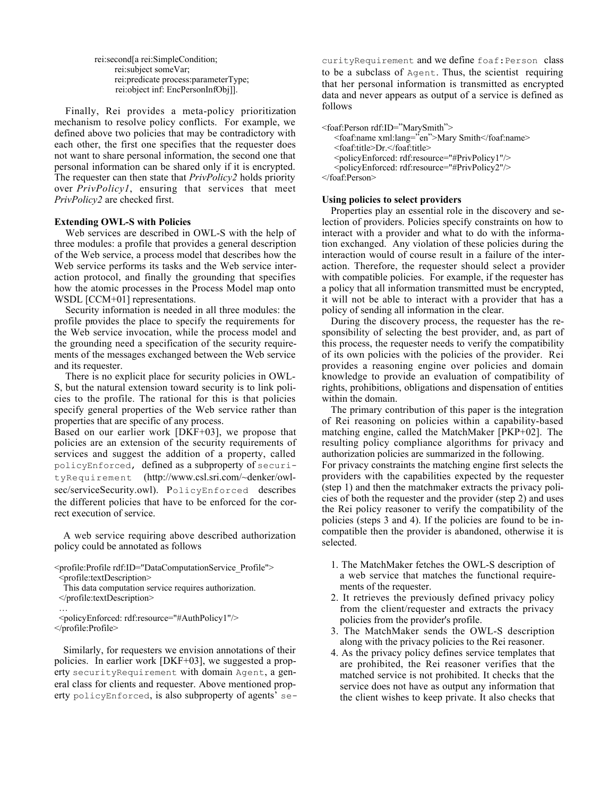rei:second[a rei:SimpleCondition; rei:subject someVar; rei:predicate process:parameterType; rei:object inf: EncPersonInfObj]].

Finally, Rei provides a meta-policy prioritization mechanism to resolve policy conflicts. For example, we defined above two policies that may be contradictory with each other, the first one specifies that the requester does not want to share personal information, the second one that personal information can be shared only if it is encrypted. The requester can then state that *PrivPolicy2* holds priority over *PrivPolicy1*, ensuring that services that meet *PrivPolicy2* are checked first.

#### **Extending OWL-S with Policies**

Web services are described in OWL-S with the help of three modules: a profile that provides a general description of the Web service, a process model that describes how the Web service performs its tasks and the Web service interaction protocol, and finally the grounding that specifies how the atomic processes in the Process Model map onto WSDL [CCM+01] representations.

Security information is needed in all three modules: the profile provides the place to specify the requirements for the Web service invocation, while the process model and the grounding need a specification of the security requirements of the messages exchanged between the Web service and its requester.

There is no explicit place for security policies in OWL-S, but the natural extension toward security is to link policies to the profile. The rational for this is that policies specify general properties of the Web service rather than properties that are specific of any process.

Based on our earlier work [DKF+03], we propose that policies are an extension of the security requirements of services and suggest the addition of a property, called policyEnforced, defined as a subproperty of securityRequirement (http://www.csl.sri.com/~denker/owlsec/serviceSecurity.owl). PolicyEnforced describes the different policies that have to be enforced for the correct execution of service.

A web service requiring above described authorization policy could be annotated as follows

<profile:Profile rdf:ID="DataComputationService\_Profile">

<profile:textDescription>

This data computation service requires authorization.

 </profile:textDescription> …

 <policyEnforced: rdf:resource="#AuthPolicy1"/> </profile:Profile>

Similarly, for requesters we envision annotations of their policies. In earlier work [DKF+03], we suggested a property securityRequirement with domain Agent, a general class for clients and requester. Above mentioned property policyEnforced, is also subproperty of agents' se-

curityRequirement and we define foaf: Person class to be a subclass of Agent. Thus, the scientist requiring that her personal information is transmitted as encrypted data and never appears as output of a service is defined as follows

<foaf:Person rdf:ID="MarySmith">

 <foaf:name xml:lang="en">Mary Smith</foaf:name> <foaf:title>Dr.</foaf:title> <policyEnforced: rdf:resource="#PrivPolicy1"/> <policyEnforced: rdf:resource="#PrivPolicy2"/> </foaf:Person>

#### **Using policies to select providers**

Properties play an essential role in the discovery and selection of providers. Policies specify constraints on how to interact with a provider and what to do with the information exchanged. Any violation of these policies during the interaction would of course result in a failure of the interaction. Therefore, the requester should select a provider with compatible policies. For example, if the requester has a policy that all information transmitted must be encrypted, it will not be able to interact with a provider that has a policy of sending all information in the clear.

During the discovery process, the requester has the responsibility of selecting the best provider, and, as part of this process, the requester needs to verify the compatibility of its own policies with the policies of the provider. Rei provides a reasoning engine over policies and domain knowledge to provide an evaluation of compatibility of rights, prohibitions, obligations and dispensation of entities within the domain.

The primary contribution of this paper is the integration of Rei reasoning on policies within a capability-based matching engine, called the MatchMaker [PKP+02]. The resulting policy compliance algorithms for privacy and authorization policies are summarized in the following. For privacy constraints the matching engine first selects the providers with the capabilities expected by the requester (step 1) and then the matchmaker extracts the privacy policies of both the requester and the provider (step 2) and uses the Rei policy reasoner to verify the compatibility of the policies (steps 3 and 4). If the policies are found to be incompatible then the provider is abandoned, otherwise it is selected.

- 1. The MatchMaker fetches the OWL-S description of a web service that matches the functional requirements of the requester.
- 2. It retrieves the previously defined privacy policy from the client/requester and extracts the privacy policies from the provider's profile.
- 3. The MatchMaker sends the OWL-S description along with the privacy policies to the Rei reasoner.
- 4. As the privacy policy defines service templates that are prohibited, the Rei reasoner verifies that the matched service is not prohibited. It checks that the service does not have as output any information that the client wishes to keep private. It also checks that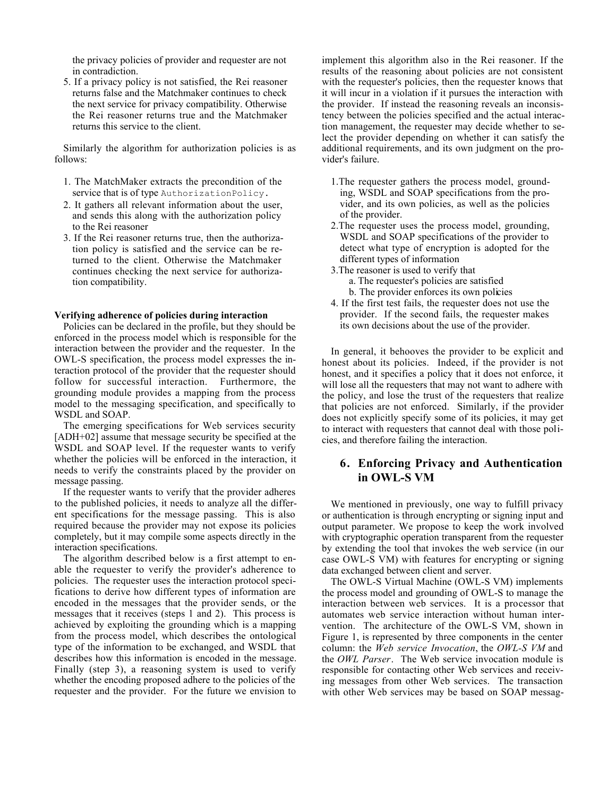the privacy policies of provider and requester are not in contradiction.

5. If a privacy policy is not satisfied, the Rei reasoner returns false and the Matchmaker continues to check the next service for privacy compatibility. Otherwise the Rei reasoner returns true and the Matchmaker returns this service to the client.

Similarly the algorithm for authorization policies is as follows:

- 1. The MatchMaker extracts the precondition of the service that is of type AuthorizationPolicy.
- 2. It gathers all relevant information about the user, and sends this along with the authorization policy to the Rei reasoner
- 3. If the Rei reasoner returns true, then the authorization policy is satisfied and the service can be returned to the client. Otherwise the Matchmaker continues checking the next service for authorization compatibility.

#### **Verifying adherence of policies during interaction**

Policies can be declared in the profile, but they should be enforced in the process model which is responsible for the interaction between the provider and the requester. In the OWL-S specification, the process model expresses the interaction protocol of the provider that the requester should follow for successful interaction. Furthermore, the grounding module provides a mapping from the process model to the messaging specification, and specifically to WSDL and SOAP.

The emerging specifications for Web services security [ADH+02] assume that message security be specified at the WSDL and SOAP level. If the requester wants to verify whether the policies will be enforced in the interaction, it needs to verify the constraints placed by the provider on message passing.

If the requester wants to verify that the provider adheres to the published policies, it needs to analyze all the different specifications for the message passing. This is also required because the provider may not expose its policies completely, but it may compile some aspects directly in the interaction specifications.

The algorithm described below is a first attempt to enable the requester to verify the provider's adherence to policies. The requester uses the interaction protocol specifications to derive how different types of information are encoded in the messages that the provider sends, or the messages that it receives (steps 1 and 2). This process is achieved by exploiting the grounding which is a mapping from the process model, which describes the ontological type of the information to be exchanged, and WSDL that describes how this information is encoded in the message. Finally (step 3), a reasoning system is used to verify whether the encoding proposed adhere to the policies of the requester and the provider. For the future we envision to

implement this algorithm also in the Rei reasoner. If the results of the reasoning about policies are not consistent with the requester's policies, then the requester knows that it will incur in a violation if it pursues the interaction with the provider. If instead the reasoning reveals an inconsistency between the policies specified and the actual interaction management, the requester may decide whether to select the provider depending on whether it can satisfy the additional requirements, and its own judgment on the provider's failure.

- 1.The requester gathers the process model, grounding, WSDL and SOAP specifications from the provider, and its own policies, as well as the policies of the provider.
- 2.The requester uses the process model, grounding, WSDL and SOAP specifications of the provider to detect what type of encryption is adopted for the different types of information
- 3.The reasoner is used to verify that
	- a. The requester's policies are satisfied
	- b. The provider enforces its own policies
- 4. If the first test fails, the requester does not use the provider. If the second fails, the requester makes its own decisions about the use of the provider.

In general, it behooves the provider to be explicit and honest about its policies. Indeed, if the provider is not honest, and it specifies a policy that it does not enforce, it will lose all the requesters that may not want to adhere with the policy, and lose the trust of the requesters that realize that policies are not enforced. Similarly, if the provider does not explicitly specify some of its policies, it may get to interact with requesters that cannot deal with those policies, and therefore failing the interaction.

## **6. Enforcing Privacy and Authentication in OWL-S VM**

We mentioned in previously, one way to fulfill privacy or authentication is through encrypting or signing input and output parameter. We propose to keep the work involved with cryptographic operation transparent from the requester by extending the tool that invokes the web service (in our case OWL-S VM) with features for encrypting or signing data exchanged between client and server.

The OWL-S Virtual Machine (OWL-S VM) implements the process model and grounding of OWL-S to manage the interaction between web services. It is a processor that automates web service interaction without human intervention. The architecture of the OWL-S VM, shown in Figure 1, is represented by three components in the center column: the *Web service Invocation*, the *OWL-S VM* and the *OWL Parser*. The Web service invocation module is responsible for contacting other Web services and receiving messages from other Web services. The transaction with other Web services may be based on SOAP messag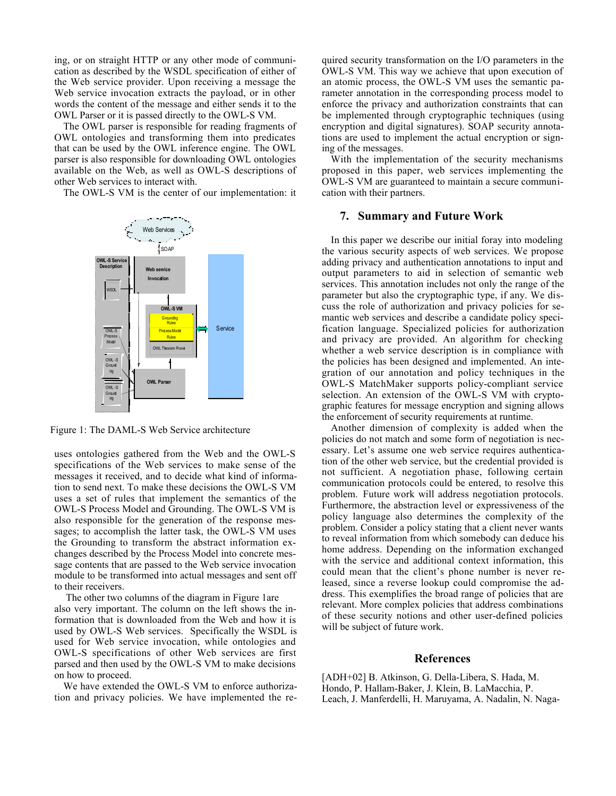ing, or on straight HTTP or any other mode of communication as described by the WSDL specification of either of the Web service provider. Upon receiving a message the Web service invocation extracts the payload, or in other words the content of the message and either sends it to the OWL Parser or it is passed directly to the OWL-S VM.

The OWL parser is responsible for reading fragments of OWL ontologies and transforming them into predicates that can be used by the OWL inference engine. The OWL parser is also responsible for downloading OWL ontologies available on the Web, as well as OWL-S descriptions of other Web services to interact with.

The OWL-S VM is the center of our implementation: it



Figure 1: The DAML-S Web Service architecture

uses ontologies gathered from the Web and the OWL-S specifications of the Web services to make sense of the messages it received, and to decide what kind of information to send next. To make these decisions the OWL-S VM uses a set of rules that implement the semantics of the OWL-S Process Model and Grounding. The OWL-S VM is also responsible for the generation of the response messages; to accomplish the latter task, the OWL-S VM uses the Grounding to transform the abstract information exchanges described by the Process Model into concrete message contents that are passed to the Web service invocation module to be transformed into actual messages and sent off to their receivers.

 The other two columns of the diagram in Figure 1are also very important. The column on the left shows the information that is downloaded from the Web and how it is used by OWL-S Web services. Specifically the WSDL is used for Web service invocation, while ontologies and OWL-S specifications of other Web services are first parsed and then used by the OWL-S VM to make decisions on how to proceed.

We have extended the OWL-S VM to enforce authorization and privacy policies. We have implemented the re-

quired security transformation on the I/O parameters in the OWL-S VM. This way we achieve that upon execution of an atomic process, the OWL-S VM uses the semantic parameter annotation in the corresponding process model to enforce the privacy and authorization constraints that can be implemented through cryptographic techniques (using encryption and digital signatures). SOAP security annotations are used to implement the actual encryption or signing of the messages.

With the implementation of the security mechanisms proposed in this paper, web services implementing the OWL-S VM are guaranteed to maintain a secure communication with their partners.

#### **7. Summary and Future Work**

In this paper we describe our initial foray into modeling the various security aspects of web services. We propose adding privacy and authentication annotations to input and output parameters to aid in selection of semantic web services. This annotation includes not only the range of the parameter but also the cryptographic type, if any. We discuss the role of authorization and privacy policies for semantic web services and describe a candidate policy specification language. Specialized policies for authorization and privacy are provided. An algorithm for checking whether a web service description is in compliance with the policies has been designed and implemented. An integration of our annotation and policy techniques in the OWL-S MatchMaker supports policy-compliant service selection. An extension of the OWL-S VM with cryptographic features for message encryption and signing allows the enforcement of security requirements at runtime.

Another dimension of complexity is added when the policies do not match and some form of negotiation is necessary. Let's assume one web service requires authentication of the other web service, but the credential provided is not sufficient. A negotiation phase, following certain communication protocols could be entered, to resolve this problem. Future work will address negotiation protocols. Furthermore, the abstraction level or expressiveness of the policy language also determines the complexity of the problem. Consider a policy stating that a client never wants to reveal information from which somebody can deduce his home address. Depending on the information exchanged with the service and additional context information, this could mean that the client's phone number is never released, since a reverse lookup could compromise the address. This exemplifies the broad range of policies that are relevant. More complex policies that address combinations of these security notions and other user-defined policies will be subject of future work.

#### **References**

[ADH+02] B. Atkinson, G. Della-Libera, S. Hada, M. Hondo, P. Hallam-Baker, J. Klein, B. LaMacchia, P. Leach, J. Manferdelli, H. Maruyama, A. Nadalin, N. Naga-